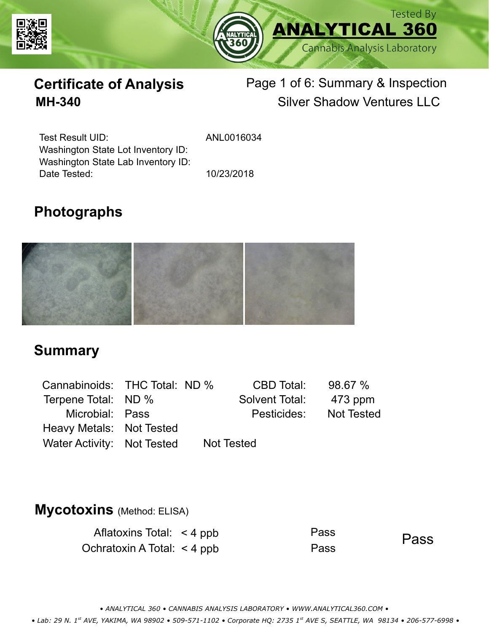



# **Certificate of Analysis** Page 1 of 6: Summary & Inspection **MH-340** Silver Shadow Ventures LLC

Test Result UID: Washington State Lot Inventory ID: Date Tested: 10/23/2018 Washington State Lab Inventory ID:

ANL0016034

# **Photographs**



### **Summary**

| Cannabinoids: THC Total: ND % |  | CBD Total:        | 98.67%     |
|-------------------------------|--|-------------------|------------|
| Terpene Total: ND %           |  | Solvent Total:    | 473 ppm    |
| Microbial: Pass               |  | Pesticides:       | Not Tested |
| Heavy Metals: Not Tested      |  |                   |            |
| Water Activity: Not Tested    |  | <b>Not Tested</b> |            |

### **Mycotoxins** (Method: ELISA)

Aflatoxins Total: < 4 ppb Pass Ochratoxin A Total: < 4 ppb Pass

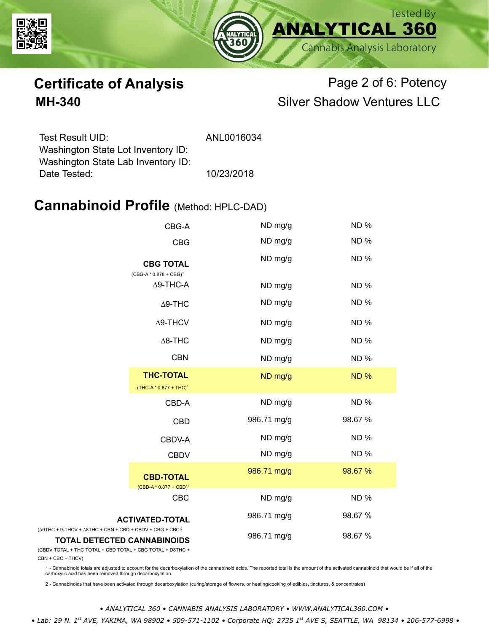



# **Certificate of Analysis** Page 2 of 6: Potency **MH-340** Silver Shadow Ventures LLC

| Test Result UID:                   | ANL0016034 |
|------------------------------------|------------|
| Washington State Lot Inventory ID: |            |
| Washington State Lab Inventory ID: |            |
| Date Tested:                       | 10/23/2018 |

### **Cannabinoid Profile** (Method: HPLC-DAD)

|                                                                                                                                                                            | CBG-A                                         | ND mg/g     | <b>ND%</b> |  |
|----------------------------------------------------------------------------------------------------------------------------------------------------------------------------|-----------------------------------------------|-------------|------------|--|
| <b>CBG</b>                                                                                                                                                                 |                                               | ND mg/g     | <b>ND%</b> |  |
|                                                                                                                                                                            | <b>CBG TOTAL</b><br>$(CBG-A * 0.878 + CBG)^1$ | ND mg/g     | <b>ND%</b> |  |
|                                                                                                                                                                            | $\Delta$ 9-THC-A                              | ND mg/g     | <b>ND%</b> |  |
|                                                                                                                                                                            | $\Delta$ 9-THC                                | ND mg/g     | <b>ND%</b> |  |
|                                                                                                                                                                            | $\Delta$ 9-THCV                               | ND mg/g     | <b>ND%</b> |  |
|                                                                                                                                                                            | $\Delta$ 8-THC                                | ND mg/g     | <b>ND%</b> |  |
|                                                                                                                                                                            | <b>CBN</b>                                    | ND mg/g     | <b>ND%</b> |  |
|                                                                                                                                                                            | <b>THC-TOTAL</b><br>$(THC-A * 0.877 + THC)^1$ | ND mg/g     | <b>ND%</b> |  |
|                                                                                                                                                                            | CBD-A                                         | ND mg/g     | <b>ND%</b> |  |
|                                                                                                                                                                            | <b>CBD</b>                                    | 986.71 mg/g | 98.67 %    |  |
|                                                                                                                                                                            | CBDV-A                                        | ND mg/g     | <b>ND%</b> |  |
|                                                                                                                                                                            | <b>CBDV</b>                                   | ND mg/g     | <b>ND%</b> |  |
|                                                                                                                                                                            | <b>CBD-TOTAL</b><br>$(CBD-A * 0.877 + CBD)^1$ | 986.71 mg/g | 98.67 %    |  |
|                                                                                                                                                                            | <b>CBC</b>                                    | ND mg/g     | <b>ND%</b> |  |
| <b>ACTIVATED-TOTAL</b>                                                                                                                                                     |                                               | 986.71 mg/g | 98.67 %    |  |
| $(\Delta 9THC + 9-THCV + \Delta 8THC + CBN + CBD + CBDV + CBC + CBC)^2$<br><b>TOTAL DETECTED CANNABINOIDS</b><br>(CBDV TOTAL + THC TOTAL + CBD TOTAL + CBG TOTAL + D8THC + |                                               | 986.71 mg/g | 98.67 %    |  |

CBN + CBC + THCV)

1 - Cannabinoid totals are adjusted to account for the decarboxylation of the cannabinoid acids. The reported total is the amount of the activated cannabinoid that would be if all of the<br>carboxylic acid has been removed th

2 - Cannabinoids that have been activated through decarboxylation (curing/storage of flowers, or heating/cooking of edibles, tinctures, & concentrates)

*• ANALYTICAL 360 • CANNABIS ANALYSIS LABORATORY • WWW.ANALYTICAL360.COM •*

 *• Lab: 29 N. 1st AVE, YAKIMA, WA 98902 • 509-571-1102 • Corporate HQ: 2735 1st AVE S, SEATTLE, WA 98134 • 206-577-6998 •*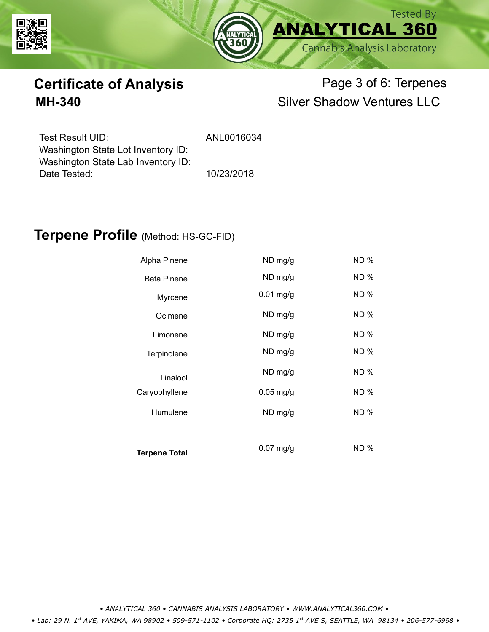



# **Certificate of Analysis** Page 3 of 6: Terpenes **MH-340** Silver Shadow Ventures LLC

| ANL0016034 |
|------------|
|            |
|            |
| 10/23/2018 |
|            |

### **Terpene Profile** (Method: HS-GC-FID)

| Alpha Pinene              | ND mg/g     | ND %        |
|---------------------------|-------------|-------------|
| <b>Beta Pinene</b>        | ND mg/g     | <b>ND %</b> |
| Myrcene                   | $0.01$ mg/g | <b>ND%</b>  |
| Ocimene                   | ND mg/g     | <b>ND %</b> |
| Limonene                  | ND mg/g     | <b>ND %</b> |
| Terpinolene               | ND mg/g     | <b>ND%</b>  |
| Linalool<br>Caryophyllene | ND mg/g     | <b>ND %</b> |
|                           | $0.05$ mg/g | <b>ND %</b> |
| Humulene                  | ND mg/g     | ND %        |
|                           |             |             |
| <b>Terpene Total</b>      | $0.07$ mg/g | ND %        |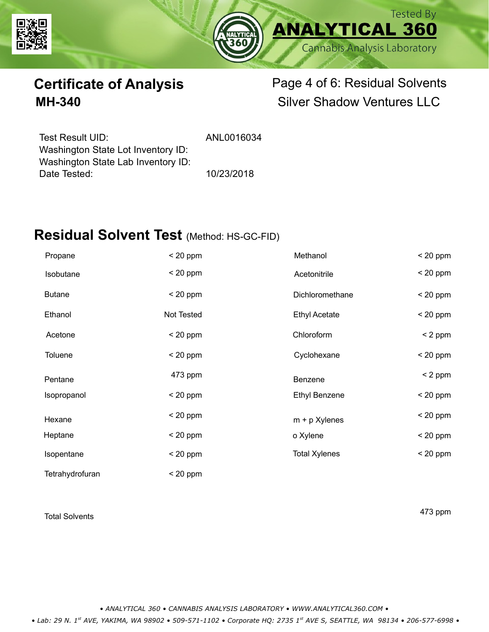



# **Certificate of Analysis** Page 4 of 6: Residual Solvents **MH-340** Silver Shadow Ventures LLC

Test Result UID: ANL0016034 Date Tested: 10/23/2018 Washington State Lot Inventory ID: Washington State Lab Inventory ID:

### **Residual Solvent Test** (Method: HS-GC-FID)

| Propane         | $< 20$ ppm | Methanol             | $< 20$ ppm |
|-----------------|------------|----------------------|------------|
| Isobutane       | $< 20$ ppm | Acetonitrile         | $< 20$ ppm |
| <b>Butane</b>   | $< 20$ ppm | Dichloromethane      | $< 20$ ppm |
| Ethanol         | Not Tested | <b>Ethyl Acetate</b> | $< 20$ ppm |
| Acetone         | $< 20$ ppm | Chloroform           | $< 2$ ppm  |
| Toluene         | $< 20$ ppm | Cyclohexane          | $< 20$ ppm |
| Pentane         | 473 ppm    | Benzene              | $< 2$ ppm  |
| Isopropanol     | $< 20$ ppm | <b>Ethyl Benzene</b> | $< 20$ ppm |
| Hexane          | $< 20$ ppm | $m + p$ Xylenes      | $< 20$ ppm |
| Heptane         | $< 20$ ppm | o Xylene             | $< 20$ ppm |
| Isopentane      | $< 20$ ppm | <b>Total Xylenes</b> | $< 20$ ppm |
| Tetrahydrofuran | $< 20$ ppm |                      |            |

Total Solvents 473 ppm

*• ANALYTICAL 360 • CANNABIS ANALYSIS LABORATORY • WWW.ANALYTICAL360.COM •*

 *• Lab: 29 N. 1st AVE, YAKIMA, WA 98902 • 509-571-1102 • Corporate HQ: 2735 1st AVE S, SEATTLE, WA 98134 • 206-577-6998 •*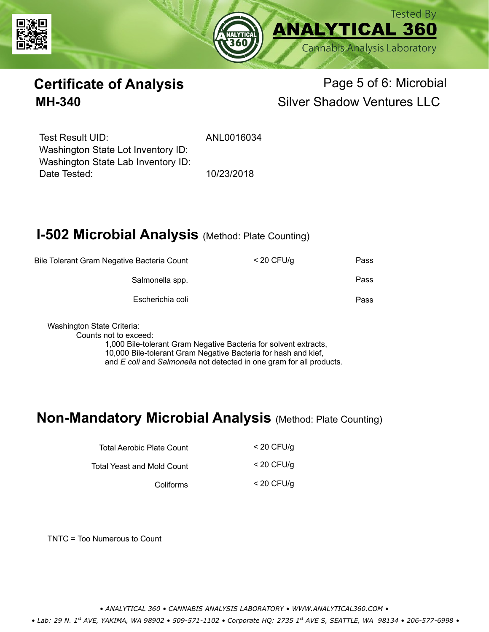



# **Certificate of Analysis** Page 5 of 6: Microbial **MH-340** Silver Shadow Ventures LLC

Test Result UID: ANI 0016034 Date Tested: 10/23/2018 Washington State Lot Inventory ID: Washington State Lab Inventory ID:

## **I-502 Microbial Analysis (Method: Plate Counting)**

| Bile Tolerant Gram Negative Bacteria Count |                  | $<$ 20 CFU/g | Pass |
|--------------------------------------------|------------------|--------------|------|
|                                            | Salmonella spp.  |              | Pass |
|                                            | Escherichia coli |              | Pass |
|                                            |                  |              |      |

Washington State Criteria:

Counts not to exceed:

1,000 Bile-tolerant Gram Negative Bacteria for solvent extracts, 10,000 Bile-tolerant Gram Negative Bacteria for hash and kief, and *E coli* and *Salmonella* not detected in one gram for all products.

### **Non-Mandatory Microbial Analysis** (Method: Plate Counting)

| Total Aerobic Plate Count  | $<$ 20 CFU/g |
|----------------------------|--------------|
| Total Yeast and Mold Count | $<$ 20 CFU/a |
| Coliforms                  | $<$ 20 CFU/g |

TNTC = Too Numerous to Count

*• ANALYTICAL 360 • CANNABIS ANALYSIS LABORATORY • WWW.ANALYTICAL360.COM •*

 *• Lab: 29 N. 1st AVE, YAKIMA, WA 98902 • 509-571-1102 • Corporate HQ: 2735 1st AVE S, SEATTLE, WA 98134 • 206-577-6998 •*